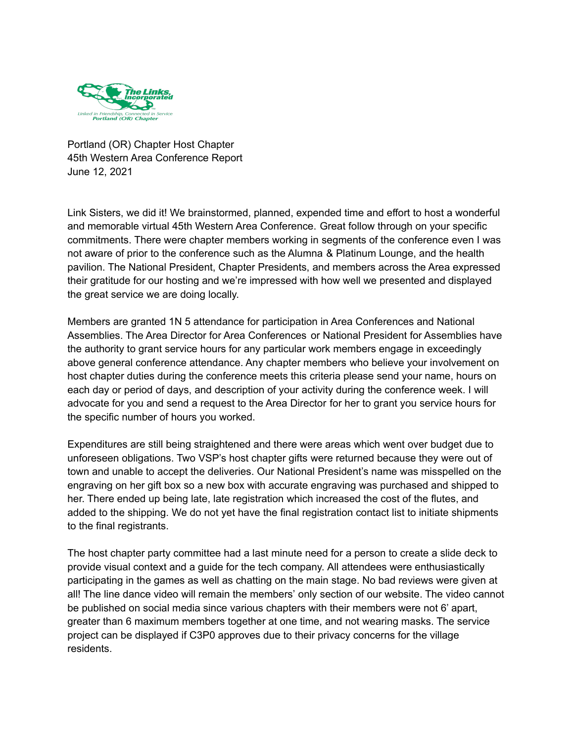

Portland (OR) Chapter Host Chapter 45th Western Area Conference Report June 12, 2021

Link Sisters, we did it! We brainstormed, planned, expended time and effort to host a wonderful and memorable virtual 45th Western Area Conference. Great follow through on your specific commitments. There were chapter members working in segments of the conference even I was not aware of prior to the conference such as the Alumna & Platinum Lounge, and the health pavilion. The National President, Chapter Presidents, and members across the Area expressed their gratitude for our hosting and we're impressed with how well we presented and displayed the great service we are doing locally.

Members are granted 1N 5 attendance for participation in Area Conferences and National Assemblies. The Area Director for Area Conferences or National President for Assemblies have the authority to grant service hours for any particular work members engage in exceedingly above general conference attendance. Any chapter members who believe your involvement on host chapter duties during the conference meets this criteria please send your name, hours on each day or period of days, and description of your activity during the conference week. I will advocate for you and send a request to the Area Director for her to grant you service hours for the specific number of hours you worked.

Expenditures are still being straightened and there were areas which went over budget due to unforeseen obligations. Two VSP's host chapter gifts were returned because they were out of town and unable to accept the deliveries. Our National President's name was misspelled on the engraving on her gift box so a new box with accurate engraving was purchased and shipped to her. There ended up being late, late registration which increased the cost of the flutes, and added to the shipping. We do not yet have the final registration contact list to initiate shipments to the final registrants.

The host chapter party committee had a last minute need for a person to create a slide deck to provide visual context and a guide for the tech company. All attendees were enthusiastically participating in the games as well as chatting on the main stage. No bad reviews were given at all! The line dance video will remain the members' only section of our website. The video cannot be published on social media since various chapters with their members were not 6' apart, greater than 6 maximum members together at one time, and not wearing masks. The service project can be displayed if C3P0 approves due to their privacy concerns for the village residents.